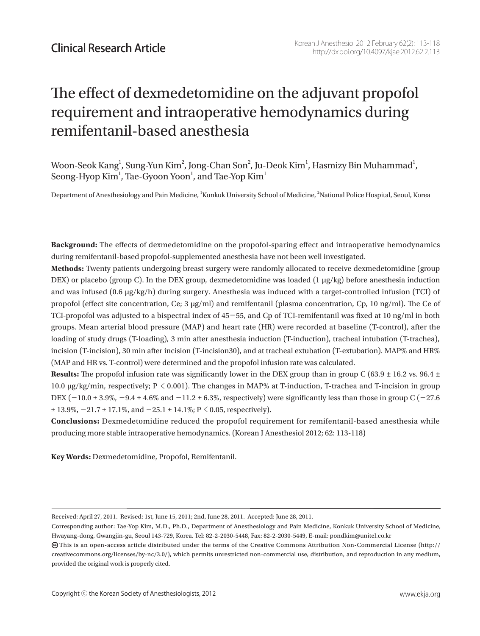# The effect of dexmedetomidine on the adjuvant propofol requirement and intraoperative hemodynamics during remifentanil-based anesthesia

Woon-Seok Kang $^{\rm l}$ , Sung-Yun Kim $^{\rm 2}$ , Jong-Chan Son $^{\rm 2}$ , Ju-Deok Kim $^{\rm l}$ , Hasmizy Bin Muhammad $^{\rm l}$ , Seong-Hyop Kim $^{\rm l}$ , Tae-Gyoon Yoon $^{\rm l}$ , and Tae-Yop Kim $^{\rm l}$ 

Department of Anesthesiology and Pain Medicine, 'Konkuk University School of Medicine, <sup>2</sup>National Police Hospital, Seoul, Korea

**Background:** The effects of dexmedetomidine on the propofol-sparing effect and intraoperative hemodynamics during remifentanil-based propofol-supplemented anesthesia have not been well investigated.

**Methods:** Twenty patients undergoing breast surgery were randomly allocated to receive dexmedetomidine (group DEX) or placebo (group C). In the DEX group, dexmedetomidine was loaded (1 μg/kg) before anesthesia induction and was infused (0.6 μg/kg/h) during surgery. Anesthesia was induced with a target-controlled infusion (TCI) of propofol (effect site concentration, Ce; 3 μg/ml) and remifentanil (plasma concentration, Cp, 10 ng/ml). The Ce of TCI-propofol was adjusted to a bispectral index of 45-55, and Cp of TCI-remifentanil was fixed at 10 ng/ml in both groups. Mean arterial blood pressure (MAP) and heart rate (HR) were recorded at baseline (T-control), after the loading of study drugs (T-loading), 3 min after anesthesia induction (T-induction), tracheal intubation (T-trachea), incision (T-incision), 30 min after incision (T-incision30), and at tracheal extubation (T-extubation). MAP% and HR% (MAP and HR vs. T-control) were determined and the propofol infusion rate was calculated.

**Results:** The propofol infusion rate was significantly lower in the DEX group than in group C (63.9  $\pm$  16.2 vs. 96.4  $\pm$ 10.0 μg/kg/min, respectively; P < 0.001). The changes in MAP% at T-induction, T-trachea and T-incision in group DEX  $(-10.0 \pm 3.9\%, -9.4 \pm 4.6\%$  and  $-11.2 \pm 6.3\%,$  respectively) were significantly less than those in group C  $(-27.6$  $\pm$  13.9%,  $-21.7 \pm 17.1$ %, and  $-25.1 \pm 14.1$ %; P  $\leq$  0.05, respectively).

**Conclusions:** Dexmedetomidine reduced the propofol requirement for remifentanil-based anesthesia while producing more stable intraoperative hemodynamics. (Korean J Anesthesiol 2012; 62: 113-118)

**Key Words:** Dexmedetomidine, Propofol, Remifentanil.

Received: April 27, 2011. Revised: 1st, June 15, 2011; 2nd, June 28, 2011. Accepted: June 28, 2011.

Corresponding author: Tae-Yop Kim, M.D., Ph.D., Department of Anesthesiology and Pain Medicine, Konkuk University School of Medicine, Hwayang-dong, Gwangjin-gu, Seoul 143-729, Korea. Tel: 82-2-2030-5448, Fax: 82-2-2030-5449, E-mail: pondkim@unitel.co.kr

 $\bm{\odot}$ This is an open-access article distributed under the terms of the Creative Commons Attribution Non-Commercial License (http:// creativecommons.org/licenses/by-nc/3.0/), which permits unrestricted non-commercial use, distribution, and reproduction in any medium, provided the original work is properly cited.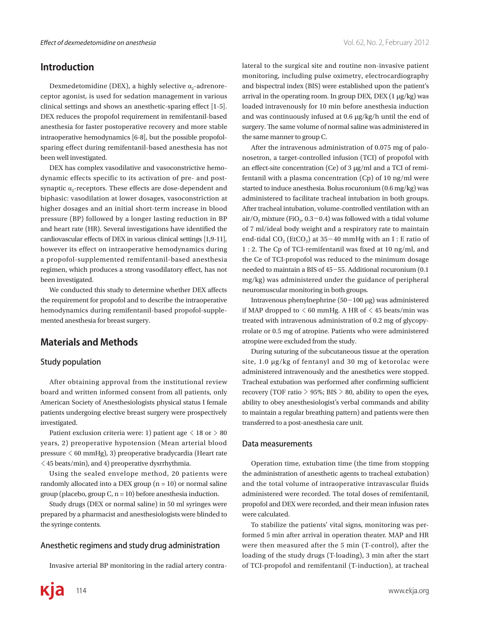## **Introduction**

Dexmedetomidine (DEX), a highly selective  $\alpha$ -adrenoreceptor agonist, is used for sedation management in various clinical settings and shows an anesthetic-sparing effect [1-5]. DEX reduces the propofol requirement in remifentanil-based anesthesia for faster postoperative recovery and more stable intraoperative hemodynamics [6-8], but the possible propofolsparing effect during remifentanil-based anesthesia has not been well investigated.

DEX has complex vasodilative and vasoconstrictive hemodynamic effects specific to its activation of pre- and postsynaptic  $\alpha_2$ -receptors. These effects are dose-dependent and biphasic: vasodilation at lower dosages, vasoconstriction at higher dosages and an initial short-term increase in blood pressure (BP) followed by a longer lasting reduction in BP and heart rate (HR). Several investigations have identified the cardiovascular effects of DEX in various clinical settings [1,9-11], however its effect on intraoperative hemodynamics during a propofol-supplemented remifentanil-based anesthesia regimen, which produces a strong vasodilatory effect, has not been investigated.

We conducted this study to determine whether DEX affects the requirement for propofol and to describe the intraoperative hemodynamics during remifentanil-based propofol-supplemented anesthesia for breast surgery.

# **Materials and Methods**

#### Study population

After obtaining approval from the institutional review board and written informed consent from all patients, only American Society of Anesthesiologists physical status I female patients undergoing elective breast surgery were prospectively investigated.

Patient exclusion criteria were: 1) patient age  $\leq$  18 or  $>$  80 years, 2) preoperative hypotension (Mean arterial blood pressure < 60 mmHg), 3) preoperative bradycardia (Heart rate < 45 beats/min), and 4) preoperative dysrrhythmia.

Using the sealed envelope method, 20 patients were randomly allocated into a DEX group  $(n = 10)$  or normal saline group (placebo, group C,  $n = 10$ ) before anesthesia induction.

Study drugs (DEX or normal saline) in 50 ml syringes were prepared by a pharmacist and anesthesiologists were blinded to the syringe contents.

#### Anesthetic regimens and study drug administration

Invasive arterial BP monitoring in the radial artery contra-

lateral to the surgical site and routine non-invasive patient monitoring, including pulse oximetry, electrocardiography and bispectral index (BIS) were established upon the patient's arrival in the operating room. In group DEX, DEX  $(1 \mu g/kg)$  was loaded intravenously for 10 min before anesthesia induction and was continuously infused at 0.6 μg/kg/h until the end of surgery. The same volume of normal saline was administered in the same manner to group C.

After the intravenous administration of 0.075 mg of palonosetron, a target-controlled infusion (TCI) of propofol with an effect-site concentration (Ce) of 3 μg/ml and a TCI of remifentanil with a plasma concentration (Cp) of 10 ng/ml were started to induce anesthesia. Bolus rocuronium (0.6 mg/kg) was administered to facilitate tracheal intubation in both groups. After tracheal intubation, volume-controlled ventilation with an air/O<sub>2</sub> mixture (FiO<sub>2</sub>,  $0.3-0.4$ ) was followed with a tidal volume of 7 ml/ideal body weight and a respiratory rate to maintain end-tidal CO<sub>2</sub> (EtCO<sub>2</sub>) at  $35-40$  mmHg with an I : E ratio of 1 : 2. The Cp of TCI-remifentanil was fixed at 10 ng/ml, and the Ce of TCI-propofol was reduced to the minimum dosage needed to maintain a BIS of 45-55. Additional rocuronium (0.1 mg/kg) was administered under the guidance of peripheral neuromuscular monitoring in both groups.

Intravenous phenylnephrine (50-100 μg) was administered if MAP dropped to  $\leq 60$  mmHg. A HR of  $\leq 45$  beats/min was treated with intravenous administration of 0.2 mg of glycopyrrolate or 0.5 mg of atropine. Patients who were administered atropine were excluded from the study.

During suturing of the subcutaneous tissue at the operation site, 1.0 μg/kg of fentanyl and 30 mg of ketorolac were administered intravenously and the anesthetics were stopped. Tracheal extubation was performed after confirming sufficient recovery (TOF ratio  $> 95\%$ ; BIS  $> 80$ , ability to open the eyes, ability to obey anesthesiologist's verbal commands and ability to maintain a regular breathing pattern) and patients were then transferred to a post-anesthesia care unit.

#### Data measurements

Operation time, extubation time (the time from stopping the administration of anesthetic agents to tracheal extubation) and the total volume of intraoperative intravascular fluids administered were recorded. The total doses of remifentanil, propofol and DEX were recorded, and their mean infusion rates were calculated.

To stabilize the patients' vital signs, monitoring was performed 5 min after arrival in operation theater. MAP and HR were then measured after the 5 min (T-control), after the loading of the study drugs (T-loading), 3 min after the start of TCI-propofol and remifentanil (T-induction), at tracheal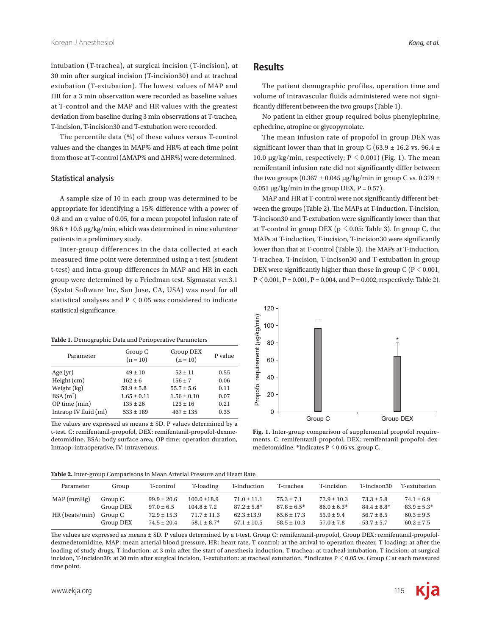intubation (T-trachea), at surgical incision (T-incision), at 30 min after surgical incision (T-incision30) and at tracheal extubation (T-extubation). The lowest values of MAP and HR for a 3 min observation were recorded as baseline values at T-control and the MAP and HR values with the greatest deviation from baseline during 3 min observations at T-trachea, T-incision, T-incision30 and T-extubation were recorded.

The percentile data (%) of these values versus T-control values and the changes in MAP% and HR% at each time point from those at T-control (ΔMAP% and ΔHR%) were determined.

#### Statistical analysis

A sample size of 10 in each group was determined to be appropriate for identifying a 15% difference with a power of 0.8 and an  $\alpha$  value of 0.05, for a mean propofol infusion rate of  $96.6 \pm 10.6$  μg/kg/min, which was determined in nine volunteer patients in a preliminary study.

Inter-group differences in the data collected at each measured time point were determined using a t-test (student t-test) and intra-group differences in MAP and HR in each group were determined by a Friedman test. Sigmastat ver.3.1 (Systat Software Inc, San Jose, CA, USA) was used for all statistical analyses and  $P < 0.05$  was considered to indicate statistical significance.

### **Results**

The patient demographic profiles, operation time and volume of intravascular fluids administered were not significantly different between the two groups (Table 1).

No patient in either group required bolus phenylephrine, ephedrine, atropine or glycopyrrolate.

The mean infusion rate of propofol in group DEX was significant lower than that in group C (63.9  $\pm$  16.2 vs. 96.4  $\pm$ 10.0 μg/kg/min, respectively;  $P \le 0.001$ ) (Fig. 1). The mean remifentanil infusion rate did not significantly differ between the two groups ( $0.367 \pm 0.045$  µg/kg/min in group C vs.  $0.379 \pm$  $0.051 \mu g/kg/min$  in the group DEX, P = 0.57).

MAP and HR at T-control were not significantly different between the groups (Table 2). The MAPs at T-induction, T-incision, T-incison30 and T-extubation were significantly lower than that at T-control in group DEX ( $p \le 0.05$ : Table 3). In group C, the MAPs at T-induction, T-incision, T-incision30 were significantly lower than that at T-control (Table 3). The MAPs at T-induction, T-trachea, T-incision, T-incison30 and T-extubation in group DEX were significantly higher than those in group  $C (P \le 0.001$ ,  $P < 0.001$ ,  $P = 0.001$ ,  $P = 0.004$ , and  $P = 0.002$ , respectively: Table 2).

| Table 1. Demographic Data and Perioperative Parameters |                       |                         |         |  |  |  |
|--------------------------------------------------------|-----------------------|-------------------------|---------|--|--|--|
| Parameter                                              | Group C<br>$(n = 10)$ | Group DEX<br>$(n = 10)$ | P value |  |  |  |
| Age(yr)                                                | $49 \pm 10$           | $52 \pm 11$             | 0.55    |  |  |  |
| Height (cm)                                            | $162 \pm 6$           | $156 \pm 7$             | 0.06    |  |  |  |
| Weight (kg)                                            | $59.9 \pm 5.8$        | $55.7 \pm 5.6$          | 0.11    |  |  |  |
| $BSA(m^2)$                                             | $1.65 \pm 0.11$       | $1.56 \pm 0.10$         | 0.07    |  |  |  |
| $OP$ time $(min)$                                      | $135 \pm 26$          | $123 \pm 16$            | 0.21    |  |  |  |
| Intraop IV fluid (ml)                                  | $533 \pm 189$         | $467 \pm 135$           | 0.35    |  |  |  |

The values are expressed as means  $\pm$  SD. P values determined by a t-test. C: remifentanil-propofol, DEX: remifentanil-propofol-dexmedetomidine, BSA: body surface area, OP time: operation duration, Intraop: intraoperative, IV: intravenous.



**Fig. 1.** Inter-group comparison of supplemental propofol requirements. C: remifentanil-propofol, DEX: remifentanil-propofol-dexmedetomidine. \*Indicates  $P < 0.05$  vs. group C.

|  |  |  | Table 2. Inter-group Comparisons in Mean Arterial Pressure and Heart Rate |
|--|--|--|---------------------------------------------------------------------------|
|--|--|--|---------------------------------------------------------------------------|

| Group     | T-control       | T-loading        | T-induction      | T-trachea        | T-incision      | T-incison30      | T-extubation     |
|-----------|-----------------|------------------|------------------|------------------|-----------------|------------------|------------------|
| Group C   | $99.9 \pm 20.6$ | $100.0 \pm 18.9$ | $71.0 \pm 11.1$  | $75.3 \pm 7.1$   | $72.9 \pm 10.3$ | $73.3 \pm 5.8$   | $74.1 \pm 6.9$   |
| Group DEX | $97.0 \pm 6.5$  | $104.8 \pm 7.2$  | $87.2 \pm 5.8^*$ | $87.8 \pm 6.5^*$ | $86.0 \pm 6.3*$ | $84.4 \pm 8.8^*$ | $83.9 \pm 5.3^*$ |
| Group C   | $72.9 \pm 15.3$ | $71.7 \pm 11.3$  | $62.3 \pm 13.9$  | $65.6 \pm 17.3$  | $55.9 \pm 9.4$  | $56.7 \pm 8.5$   | $60.3 \pm 9.5$   |
| Group DEX | $74.5 \pm 20.4$ | $58.1 \pm 8.7^*$ | $57.1 \pm 10.5$  | $58.5 \pm 10.3$  | $57.0 \pm 7.8$  | $53.7 \pm 5.7$   | $60.2 \pm 7.5$   |
|           |                 |                  |                  |                  |                 |                  |                  |

The values are expressed as means ± SD. P values determined by a t-test. Group C: remifentanil-propofol, Group DEX: remifentanil-propofoldexmedetomidine, MAP: mean arterial blood pressure, HR: heart rate, T-control: at the arrival to operation theater, T-loading: at after the loading of study drugs, T-induction: at 3 min after the start of anesthesia induction, T-trachea: at tracheal intubation, T-incision: at surgical incision, T-incision30: at 30 min after surgical incision, T-extubation: at tracheal extubation. \*Indicates P < 0.05 vs. Group C at each measured time point.

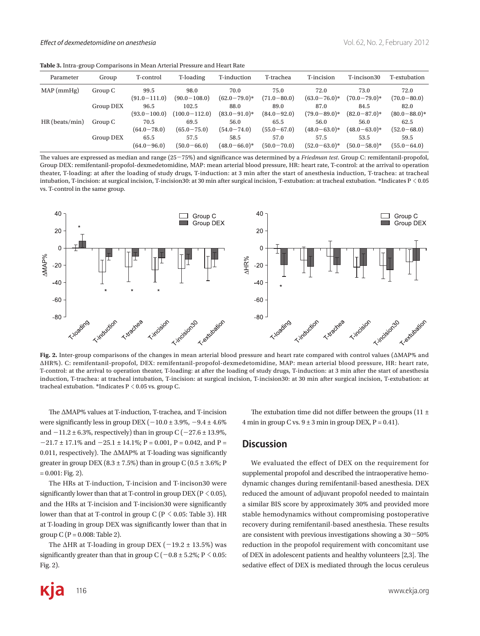| Parameter        | Group     | T-control                | T-loading                  | T-induction               | T-trachea               | T-incision                | T-incison30               | T-extubation              |
|------------------|-----------|--------------------------|----------------------------|---------------------------|-------------------------|---------------------------|---------------------------|---------------------------|
| MAP(mmHg)        | Group C   | 99.5<br>$(91.0-111.0)$   | 98.0<br>$(90.0 - 108.0)$   | 70.0<br>$(62.0 - 79.0)^*$ | 75.0<br>$(71.0 - 80.0)$ | 72.0<br>$(63.0 - 76.0)^*$ | 73.0<br>$(70.0 - 79.0)^*$ | 72.0<br>$(70.0 - 80.0)$   |
|                  | Group DEX | 96.5<br>$(93.0 - 100.0)$ | 102.5<br>$(100.0 - 112.0)$ | 88.0<br>$(83.0 - 91.0)^*$ | 89.0<br>$(84.0 - 92.0)$ | 87.0<br>$(79.0 - 89.0)^*$ | 84.5<br>$(82.0 - 87.0)^*$ | 82.0<br>$(80.0 - 88.0)^*$ |
| $HR$ (beats/min) | Group C   | 70.5<br>$(64.0 - 78.0)$  | 69.5<br>$(65.0 - 75.0)$    | 56.0<br>$(54.0 - 74.0)$   | 65.5<br>$(55.0 - 67.0)$ | 56.0<br>$(48.0 - 63.0)^*$ | 56.0<br>$(48.0 - 63.0)^*$ | 62.5<br>$(52.0 - 68.0)$   |
|                  | Group DEX | 65.5<br>$(64.0 - 96.0)$  | 57.5<br>$(50.0 - 66.0)$    | 58.5<br>$(48.0 - 66.0)^*$ | 57.0<br>$(50.0 - 70.0)$ | 57.5<br>$(52.0 - 63.0)^*$ | 53.5<br>$(50.0 - 58.0)^*$ | 59.5<br>$(55.0 - 64.0)$   |

The values are expressed as median and range (25-75%) and significance was determined by a *Friedman test*. Group C: remifentanil-propofol, Group DEX: remifentanil-propofol-dexmedetomidine, MAP: mean arterial blood pressure, HR: heart rate, T-control: at the arrival to operation theater, T-loading: at after the loading of study drugs, T-induction: at 3 min after the start of anesthesia induction, T-trachea: at tracheal intubation, T-incision: at surgical incision, T-incision30: at 30 min after surgical incision, T-extubation: at tracheal extubation. \*Indicates P < 0.05 vs. T-control in the same group.



**Fig. 2.** Inter-group comparisons of the changes in mean arterial blood pressure and heart rate compared with control values (ΔMAP% and ΔHR%). C: remifentanil-propofol, DEX: remifentanil-propofol-dexmedetomidine, MAP: mean arterial blood pressure, HR: heart rate, T-control: at the arrival to operation theater, T-loading: at after the loading of study drugs, T-induction: at 3 min after the start of anesthesia induction, T-trachea: at tracheal intubation, T-incision: at surgical incision, T-incision30: at 30 min after surgical incision, T-extubation: at tracheal extubation. \*Indicates P < 0.05 vs. group C.

The ΔMAP% values at T-induction, T-trachea, and T-incision were significantly less in group DEX ( $-10.0 \pm 3.9\%$ ,  $-9.4 \pm 4.6\%$ ) and  $-11.2 \pm 6.3$ %, respectively) than in group C ( $-27.6 \pm 13.9$ %,  $-21.7 \pm 17.1\%$  and  $-25.1 \pm 14.1\%$ ; P = 0.001, P = 0.042, and P = 0.011, respectively). The ΔMAP% at T-loading was significantly greater in group DEX ( $8.3 \pm 7.5\%$ ) than in group C ( $0.5 \pm 3.6\%$ ; P  $= 0.001$ : Fig. 2).

The HRs at T-induction, T-incision and T-incison30 were significantly lower than that at T-control in group DEX ( $P < 0.05$ ), and the HRs at T-incision and T-incision30 were significantly lower than that at T-control in group C ( $P \le 0.05$ : Table 3). HR at T-loading in group DEX was significantly lower than that in group  $C(P = 0.008$ : Table 2).

The  $\triangle$ HR at T-loading in group DEX ( $-19.2 \pm 13.5\%$ ) was significantly greater than that in group C ( $-0.8 \pm 5.2\%$ ; P  $\leq 0.05$ : Fig. 2).

The extubation time did not differ between the groups (11  $\pm$ 4 min in group C vs.  $9 \pm 3$  min in group DEX,  $P = 0.41$ ).

## **Discussion**

We evaluated the effect of DEX on the requirement for supplemental propofol and described the intraoperative hemodynamic changes during remifentanil-based anesthesia. DEX reduced the amount of adjuvant propofol needed to maintain a similar BIS score by approximately 30% and provided more stable hemodynamics without compromising postoperative recovery during remifentanil-based anesthesia. These results are consistent with previous investigations showing a  $30-50\%$ reduction in the propofol requirement with concomitant use of DEX in adolescent patients and healthy volunteers [2,3]. The sedative effect of DEX is mediated through the locus ceruleus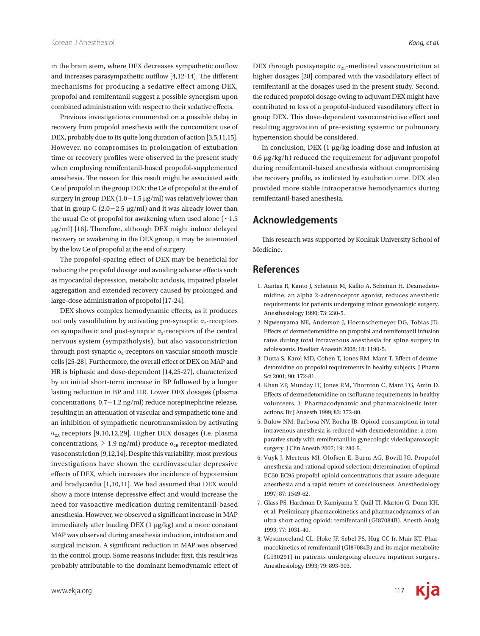in the brain stem, where DEX decreases sympathetic outflow and increases parasympathetic outflow [4,12-14]. The different mechanisms for producing a sedative effect among DEX, propofol and remifentanil suggest a possible synergism upon combined administration with respect to their sedative effects.

Previous investigations commented on a possible delay in recovery from propofol anesthesia with the concomitant use of DEX, probably due to its quite long duration of action [3,5,11,15]. However, no compromises in prolongation of extubation time or recovery profiles were observed in the present study when employing remifentanil-based propofol-supplemented anesthesia. The reason for this result might be associated with Ce of propofol in the group DEX: the Ce of propofol at the end of surgery in group DEX  $(1.0-1.5 \,\mu g/ml)$  was relatively lower than that in group  $C(2.0-2.5 \text{ µg/ml})$  and it was already lower than the usual Ce of propofol for awakening when used alone  $(-1.5)$ μg/ml) [16]. Therefore, although DEX might induce delayed recovery or awakening in the DEX group, it may be attenuated by the low Ce of propofol at the end of surgery.

The propofol-sparing effect of DEX may be beneficial for reducing the propofol dosage and avoiding adverse effects such as myocardial depression, metabolic acidosis, impaired platelet aggregation and extended recovery caused by prolonged and large-dose administration of propofol [17-24].

DEX shows complex hemodynamic effects, as it produces not only vasodilation by activating pre-synaptic  $\alpha$ -receptors on sympathetic and post-synaptic  $\alpha_2$ -receptors of the central nervous system (sympatholysis), but also vasoconstriction through post-synaptic  $\alpha_2$ -receptors on vascular smooth muscle cells [25-28]. Furthermore, the overall effect of DEX on MAP and HR is biphasic and dose-dependent [14,25-27], characterized by an initial short-term increase in BP followed by a longer lasting reduction in BP and HR. Lower DEX dosages (plasma concentrations,  $0.7-1.2$  ng/ml) reduce norepinephrine release, resulting in an attenuation of vascular and sympathetic tone and an inhibition of sympathetic neurotransmission by activating  $\alpha_{2A}$  receptors [9,10,12,29]. Higher DEX dosages (i.e. plasma concentrations,  $> 1.9$  ng/ml) produce  $\alpha_{2B}$  receptor-mediated vasoconstriction [9,12,14]. Despite this variability, most previous investigations have shown the cardiovascular depressive effects of DEX, which increases the incidence of hypotension and bradycardia [1,10,11]. We had assumed that DEX would show a more intense depressive effect and would increase the need for vasoactive medication during remifentanil-based anesthesia. However, we observed a significant increase in MAP immediately after loading DEX (1 μg/kg) and a more constant MAP was observed during anesthesia induction, intubation and surgical incision. A significant reduction in MAP was observed in the control group. Some reasons include: first, this result was probably attributable to the dominant hemodynamic effect of DEX through postsynaptic  $\alpha_{2B}$ -mediated vasoconstriction at higher dosages [28] compared with the vasodilatory effect of remifentanil at the dosages used in the present study. Second, the reduced propofol dosage owing to adjuvant DEX might have contributed to less of a propofol-induced vasodilatory effect in group DEX. This dose-dependent vasoconstrictive effect and resulting aggravation of pre-existing systemic or pulmonary hypertension should be considered.

In conclusion, DEX (1 μg/kg loading dose and infusion at 0.6 μg/kg/h) reduced the requirement for adjuvant propofol during remifentanil-based anesthesia without compromising the recovery profile, as indicated by extubation time. DEX also provided more stable intraoperative hemodynamics during remifentanil-based anesthesia.

# **Acknowledgements**

This research was supported by Konkuk University School of Medicine.

## **References**

- 1. Aantaa R, Kanto J, Scheinin M, Kallio A, Scheinin H. Dexmedetomidine, an alpha 2-adrenoceptor agonist, reduces anesthetic requirements for patients undergoing minor gynecologic surgery. Anesthesiology 1990; 73: 230-5.
- 2. Ngwenyama NE, Anderson J, Hoernschemeyer DG, Tobias JD. Effects of dexmedetomidine on propofol and remifentanil infusion rates during total intravenous anesthesia for spine surgery in adolescents. Paediatr Anaesth 2008; 18: 1190-5.
- 3. Dutta S, Karol MD, Cohen T, Jones RM, Mant T. Effect of dexmedetomidine on propofol requirements in healthy subjects. J Pharm Sci 2001; 90: 172-81.
- 4. Khan ZP, Munday IT, Jones RM, Thornton C, Mant TG, Amin D. Effects of dexmedetomidine on isoflurane requirements in healthy volunteers. 1: Pharmacodynamic and pharmacokinetic interactions. Br J Anaesth 1999; 83: 372-80.
- 5. Bulow NM, Barbosa NV, Rocha JB. Opioid consumption in total intravenous anesthesia is reduced with dexmedetomidine: a comparative study with remifentanil in gynecologic videolaparoscopic surgery. J Clin Anesth 2007; 19: 280-5.
- 6. Vuyk J, Mertens MJ, Olofsen E, Burm AG, Bovill JG. Propofol anesthesia and rational opioid selection: determination of optimal EC50-EC95 propofol-opioid concentrations that assure adequate anesthesia and a rapid return of consciousness. Anesthesiology 1997; 87: 1549-62.
- 7. Glass PS, Hardman D, Kamiyama Y, Quill TJ, Marton G, Donn KH, et al. Preliminary pharmacokinetics and pharmacodynamics of an ultra-short-acting opioid: remifentanil (GI87084B). Anesth Analg 1993; 77: 1031-40.
- 8. Westmoreland CL, Hoke JF, Sebel PS, Hug CC Jr, Muir KT. Pharmacokinetics of remifentanil (GI87084B) and its major metabolite (GI90291) in patients undergoing elective inpatient surgery. Anesthesiology 1993; 79: 893-903.